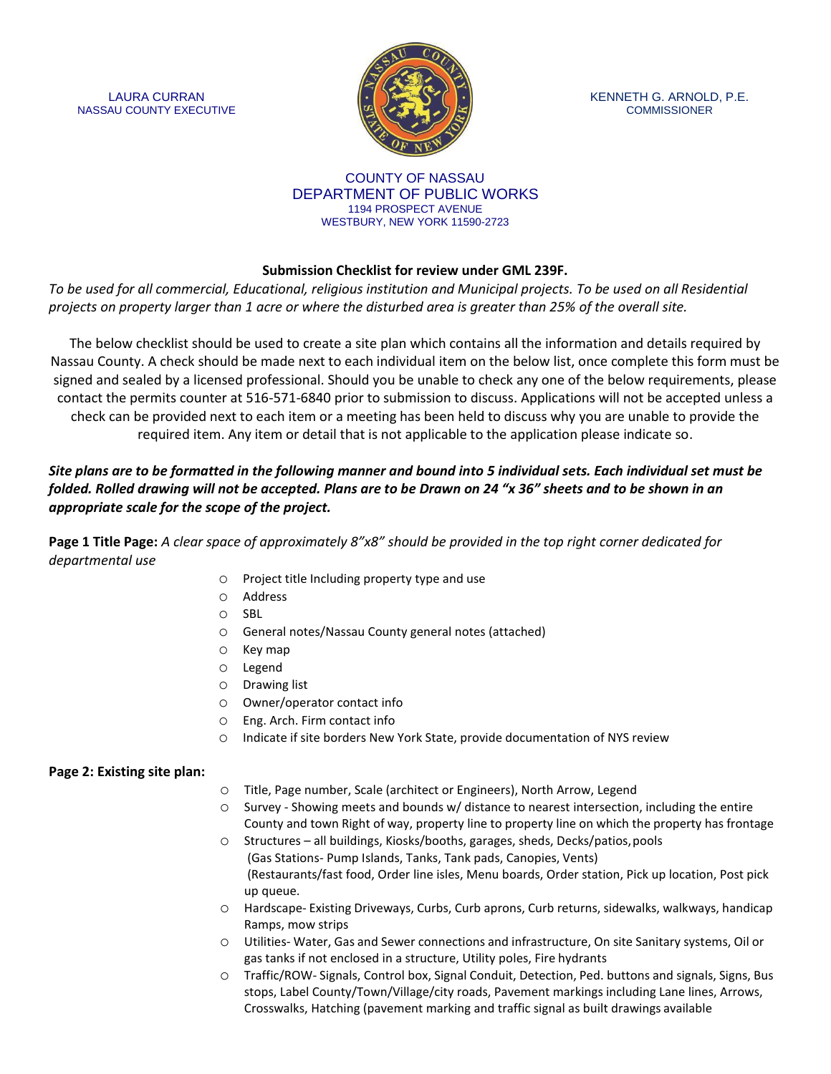LAURA CURRAN NASSAU COUNTY EXECUTIVE



KENNETH G. ARNOLD, P.E. **COMMISSIONER** 

#### COUNTY OF NASSAU DEPARTMENT OF PUBLIC WORKS 1194 PROSPECT AVENUE WESTBURY, NEW YORK 11590-2723

# **Submission Checklist for review under GML 239F.**

*To be used for all commercial, Educational, religious institution and Municipal projects. To be used on all Residential projects on property larger than 1 acre or where the disturbed area is greater than 25% of the overall site.*

The below checklist should be used to create a site plan which contains all the information and details required by Nassau County. A check should be made next to each individual item on the below list, once complete this form must be signed and sealed by a licensed professional. Should you be unable to check any one of the below requirements, please contact the permits counter at 516-571-6840 prior to submission to discuss. Applications will not be accepted unless a check can be provided next to each item or a meeting has been held to discuss why you are unable to provide the required item. Any item or detail that is not applicable to the application please indicate so.

# *Site plans are to be formatted in the following manner and bound into 5 individual sets. Each individual set must be folded. Rolled drawing will not be accepted. Plans are to be Drawn on 24 "x 36" sheets and to be shown in an appropriate scale for the scope of the project.*

**Page 1 Title Page:** *A clear space of approximately 8"x8" should be provided in the top right corner dedicated for departmental use*

- o Project title Including property type and use
- o Address
- o SBL
- o General notes/Nassau County general notes (attached)
- o Key map
- o Legend
- o Drawing list
- o Owner/operator contact info
- o Eng. Arch. Firm contact info
- o Indicate if site borders New York State, provide documentation of NYS review

# **Page 2: Existing site plan:**

- o Title, Page number, Scale (architect or Engineers), North Arrow, Legend
- o Survey Showing meets and bounds w/ distance to nearest intersection, including the entire County and town Right of way, property line to property line on which the property has frontage
- o Structures all buildings, Kiosks/booths, garages, sheds, Decks/patios,pools (Gas Stations- Pump Islands, Tanks, Tank pads, Canopies, Vents) (Restaurants/fast food, Order line isles, Menu boards, Order station, Pick up location, Post pick up queue.
- o Hardscape- Existing Driveways, Curbs, Curb aprons, Curb returns, sidewalks, walkways, handicap Ramps, mow strips
- o Utilities- Water, Gas and Sewer connections and infrastructure, On site Sanitary systems, Oil or gas tanks if not enclosed in a structure, Utility poles, Fire hydrants
- o Traffic/ROW- Signals, Control box, Signal Conduit, Detection, Ped. buttons and signals, Signs, Bus stops, Label County/Town/Village/city roads, Pavement markings including Lane lines, Arrows, Crosswalks, Hatching (pavement marking and traffic signal as built drawings available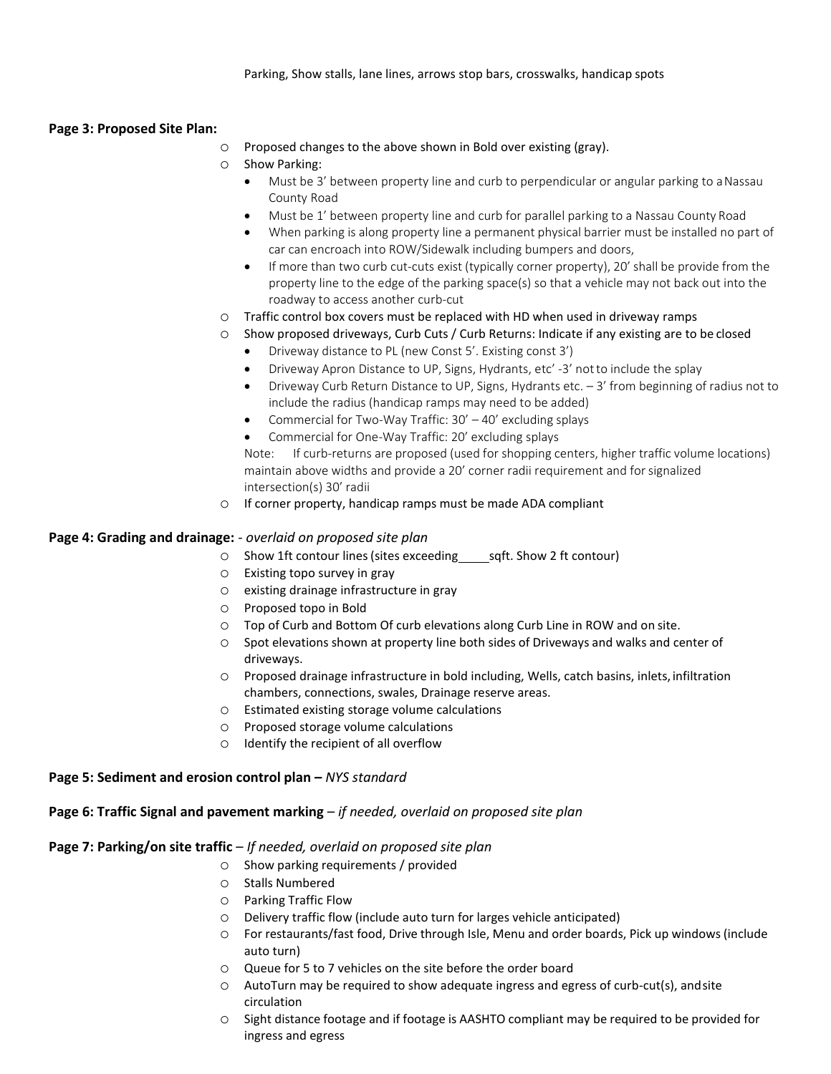#### **Page 3: Proposed Site Plan:**

- o Proposed changes to the above shown in Bold over existing (gray).
- o Show Parking:
	- Must be 3' between property line and curb to perpendicular or angular parking to a Nassau County Road
	- Must be 1' between property line and curb for parallel parking to a Nassau County Road
	- When parking is along property line a permanent physical barrier must be installed no part of car can encroach into ROW/Sidewalk including bumpers and doors,
	- If more than two curb cut-cuts exist (typically corner property), 20' shall be provide from the property line to the edge of the parking space(s) so that a vehicle may not back out into the roadway to access another curb-cut
- o Traffic control box covers must be replaced with HD when used in driveway ramps
- o Show proposed driveways, Curb Cuts / Curb Returns: Indicate if any existing are to be closed
	- Driveway distance to PL (new Const 5'. Existing const 3')
	- Driveway Apron Distance to UP, Signs, Hydrants, etc' -3' notto include the splay
	- Driveway Curb Return Distance to UP, Signs, Hydrants etc. 3' from beginning of radius not to include the radius (handicap ramps may need to be added)
	- Commercial for Two-Way Traffic: 30' 40' excluding splays
	- Commercial for One-Way Traffic: 20' excluding splays

Note: If curb-returns are proposed (used for shopping centers, higher traffic volume locations) maintain above widths and provide a 20' corner radii requirement and forsignalized intersection(s) 30' radii

o If corner property, handicap ramps must be made ADA compliant

### **Page 4: Grading and drainage:** - *overlaid on proposed site plan*

- $\circ$  Show 1ft contour lines (sites exceeding sqft. Show 2 ft contour)
- o Existing topo survey in gray
- o existing drainage infrastructure in gray
- o Proposed topo in Bold
- o Top of Curb and Bottom Of curb elevations along Curb Line in ROW and on site.
- o Spot elevations shown at property line both sides of Driveways and walks and center of driveways.
- o Proposed drainage infrastructure in bold including, Wells, catch basins, inlets, infiltration chambers, connections, swales, Drainage reserve areas.
- o Estimated existing storage volume calculations
- o Proposed storage volume calculations
- o Identify the recipient of all overflow

### **Page 5: Sediment and erosion control plan – NYS standard**

#### **Page 6: Traffic Signal and pavement marking** – *if needed, overlaid on proposed site plan*

### **Page 7: Parking/on site traffic** – *If needed, overlaid on proposed site plan*

- o Show parking requirements / provided
- o Stalls Numbered
- o Parking Traffic Flow
- o Delivery traffic flow (include auto turn for larges vehicle anticipated)
- o For restaurants/fast food, Drive through Isle, Menu and order boards, Pick up windows (include auto turn)
- o Queue for 5 to 7 vehicles on the site before the order board
- o AutoTurn may be required to show adequate ingress and egress of curb-cut(s), andsite circulation
- o Sight distance footage and if footage is AASHTO compliant may be required to be provided for ingress and egress